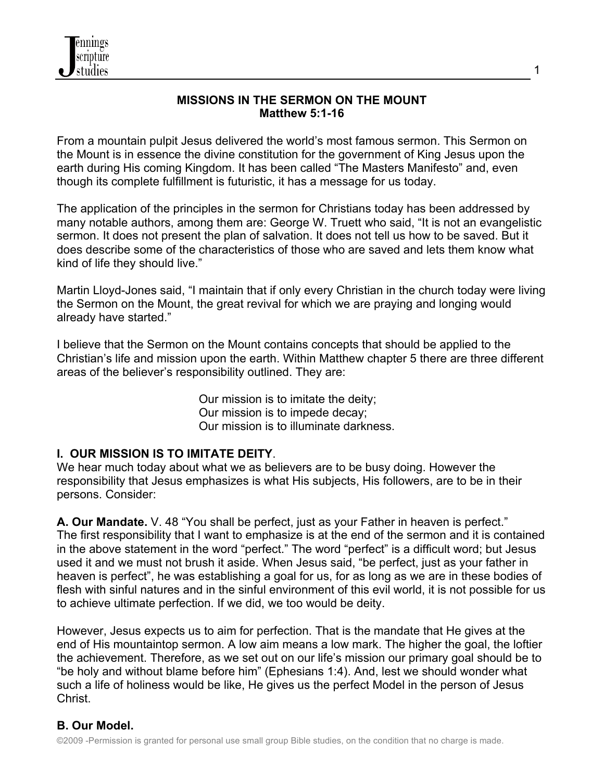

#### **MISSIONS IN THE SERMON ON THE MOUNT Matthew 5:1-16**

From a mountain pulpit Jesus delivered the world's most famous sermon. This Sermon on the Mount is in essence the divine constitution for the government of King Jesus upon the earth during His coming Kingdom. It has been called "The Masters Manifesto" and, even though its complete fulfillment is futuristic, it has a message for us today.

The application of the principles in the sermon for Christians today has been addressed by many notable authors, among them are: George W. Truett who said, "It is not an evangelistic sermon. It does not present the plan of salvation. It does not tell us how to be saved. But it does describe some of the characteristics of those who are saved and lets them know what kind of life they should live."

Martin Lloyd-Jones said, "I maintain that if only every Christian in the church today were living the Sermon on the Mount, the great revival for which we are praying and longing would already have started."

I believe that the Sermon on the Mount contains concepts that should be applied to the Christian's life and mission upon the earth. Within Matthew chapter 5 there are three different areas of the believer's responsibility outlined. They are:

> Our mission is to imitate the deity; Our mission is to impede decay; Our mission is to illuminate darkness.

#### **I. OUR MISSION IS TO IMITATE DEITY**.

We hear much today about what we as believers are to be busy doing. However the responsibility that Jesus emphasizes is what His subjects, His followers, are to be in their persons. Consider:

**A. Our Mandate.** V. 48 "You shall be perfect, just as your Father in heaven is perfect." The first responsibility that I want to emphasize is at the end of the sermon and it is contained in the above statement in the word "perfect." The word "perfect" is a difficult word; but Jesus used it and we must not brush it aside. When Jesus said, "be perfect, just as your father in heaven is perfect", he was establishing a goal for us, for as long as we are in these bodies of flesh with sinful natures and in the sinful environment of this evil world, it is not possible for us to achieve ultimate perfection. If we did, we too would be deity.

However, Jesus expects us to aim for perfection. That is the mandate that He gives at the end of His mountaintop sermon. A low aim means a low mark. The higher the goal, the loftier the achievement. Therefore, as we set out on our life's mission our primary goal should be to "be holy and without blame before him" (Ephesians 1:4). And, lest we should wonder what such a life of holiness would be like, He gives us the perfect Model in the person of Jesus Christ.

### **B. Our Model.**

1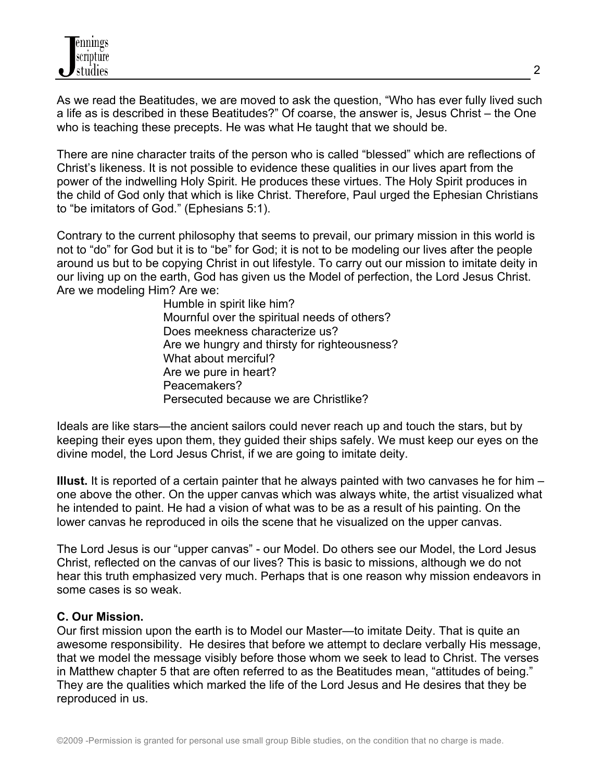As we read the Beatitudes, we are moved to ask the question, "Who has ever fully lived such a life as is described in these Beatitudes?" Of coarse, the answer is, Jesus Christ – the One who is teaching these precepts. He was what He taught that we should be.

There are nine character traits of the person who is called "blessed" which are reflections of Christ's likeness. It is not possible to evidence these qualities in our lives apart from the power of the indwelling Holy Spirit. He produces these virtues. The Holy Spirit produces in the child of God only that which is like Christ. Therefore, Paul urged the Ephesian Christians to "be imitators of God." (Ephesians 5:1).

Contrary to the current philosophy that seems to prevail, our primary mission in this world is not to "do" for God but it is to "be" for God; it is not to be modeling our lives after the people around us but to be copying Christ in out lifestyle. To carry out our mission to imitate deity in our living up on the earth, God has given us the Model of perfection, the Lord Jesus Christ. Are we modeling Him? Are we:

> Humble in spirit like him? Mournful over the spiritual needs of others? Does meekness characterize us? Are we hungry and thirsty for righteousness? What about merciful? Are we pure in heart? Peacemakers? Persecuted because we are Christlike?

Ideals are like stars—the ancient sailors could never reach up and touch the stars, but by keeping their eyes upon them, they guided their ships safely. We must keep our eyes on the divine model, the Lord Jesus Christ, if we are going to imitate deity.

**Illust.** It is reported of a certain painter that he always painted with two canvases he for him – one above the other. On the upper canvas which was always white, the artist visualized what he intended to paint. He had a vision of what was to be as a result of his painting. On the lower canvas he reproduced in oils the scene that he visualized on the upper canvas.

The Lord Jesus is our "upper canvas" - our Model. Do others see our Model, the Lord Jesus Christ, reflected on the canvas of our lives? This is basic to missions, although we do not hear this truth emphasized very much. Perhaps that is one reason why mission endeavors in some cases is so weak.

### **C. Our Mission.**

Our first mission upon the earth is to Model our Master—to imitate Deity. That is quite an awesome responsibility. He desires that before we attempt to declare verbally His message, that we model the message visibly before those whom we seek to lead to Christ. The verses in Matthew chapter 5 that are often referred to as the Beatitudes mean, "attitudes of being." They are the qualities which marked the life of the Lord Jesus and He desires that they be reproduced in us.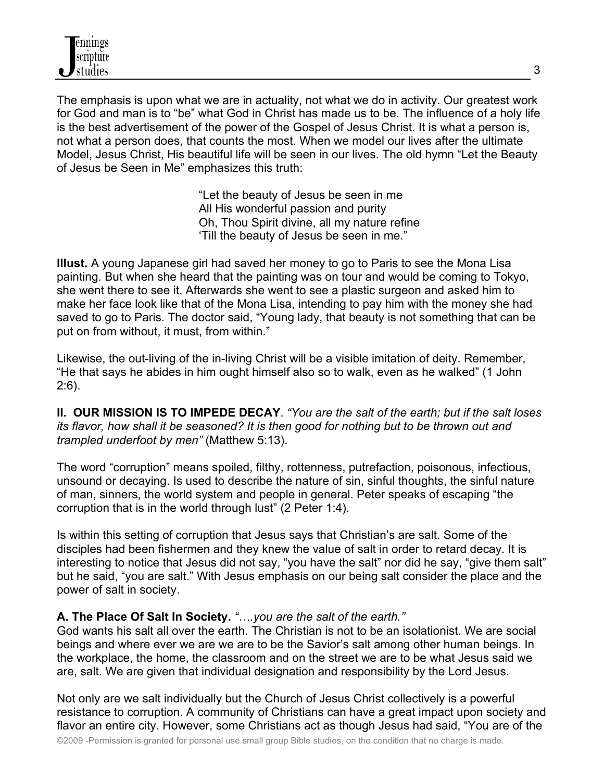The emphasis is upon what we are in actuality, not what we do in activity. Our greatest work for God and man is to "be" what God in Christ has made us to be. The influence of a holy life is the best advertisement of the power of the Gospel of Jesus Christ. It is what a person is, not what a person does, that counts the most. When we model our lives after the ultimate Model, Jesus Christ, His beautiful life will be seen in our lives. The old hymn "Let the Beauty of Jesus be Seen in Me" emphasizes this truth:

> "Let the beauty of Jesus be seen in me All His wonderful passion and purity Oh, Thou Spirit divine, all my nature refine 'Till the beauty of Jesus be seen in me."

**Illust.** A young Japanese girl had saved her money to go to Paris to see the Mona Lisa painting. But when she heard that the painting was on tour and would be coming to Tokyo, she went there to see it. Afterwards she went to see a plastic surgeon and asked him to make her face look like that of the Mona Lisa, intending to pay him with the money she had saved to go to Paris. The doctor said, "Young lady, that beauty is not something that can be put on from without, it must, from within."

Likewise, the out-living of the in-living Christ will be a visible imitation of deity. Remember, "He that says he abides in him ought himself also so to walk, even as he walked" (1 John 2:6).

**II. OUR MISSION IS TO IMPEDE DECAY**. *"You are the salt of the earth; but if the salt loses its flavor, how shall it be seasoned? It is then good for nothing but to be thrown out and trampled underfoot by men"* (Matthew 5:13).

The word "corruption" means spoiled, filthy, rottenness, putrefaction, poisonous, infectious, unsound or decaying. Is used to describe the nature of sin, sinful thoughts, the sinful nature of man, sinners, the world system and people in general. Peter speaks of escaping "the corruption that is in the world through lust" (2 Peter 1:4).

Is within this setting of corruption that Jesus says that Christian's are salt. Some of the disciples had been fishermen and they knew the value of salt in order to retard decay. It is interesting to notice that Jesus did not say, "you have the salt" nor did he say, "give them salt" but he said, "you are salt." With Jesus emphasis on our being salt consider the place and the power of salt in society.

### **A. The Place Of Salt In Society.** *"….you are the salt of the earth."*

God wants his salt all over the earth. The Christian is not to be an isolationist. We are social beings and where ever we are we are to be the Savior's salt among other human beings. In the workplace, the home, the classroom and on the street we are to be what Jesus said we are, salt. We are given that individual designation and responsibility by the Lord Jesus.

Not only are we salt individually but the Church of Jesus Christ collectively is a powerful resistance to corruption. A community of Christians can have a great impact upon society and flavor an entire city. However, some Christians act as though Jesus had said, "You are of the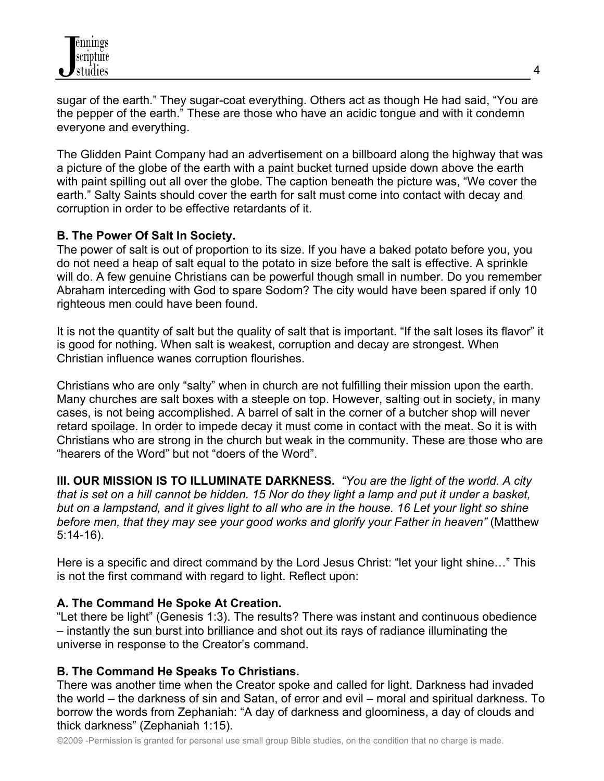sugar of the earth." They sugar-coat everything. Others act as though He had said, "You are the pepper of the earth." These are those who have an acidic tongue and with it condemn everyone and everything.

The Glidden Paint Company had an advertisement on a billboard along the highway that was a picture of the globe of the earth with a paint bucket turned upside down above the earth with paint spilling out all over the globe. The caption beneath the picture was, "We cover the earth." Salty Saints should cover the earth for salt must come into contact with decay and corruption in order to be effective retardants of it.

## **B. The Power Of Salt In Society.**

The power of salt is out of proportion to its size. If you have a baked potato before you, you do not need a heap of salt equal to the potato in size before the salt is effective. A sprinkle will do. A few genuine Christians can be powerful though small in number. Do you remember Abraham interceding with God to spare Sodom? The city would have been spared if only 10 righteous men could have been found.

It is not the quantity of salt but the quality of salt that is important. "If the salt loses its flavor" it is good for nothing. When salt is weakest, corruption and decay are strongest. When Christian influence wanes corruption flourishes.

Christians who are only "salty" when in church are not fulfilling their mission upon the earth. Many churches are salt boxes with a steeple on top. However, salting out in society, in many cases, is not being accomplished. A barrel of salt in the corner of a butcher shop will never retard spoilage. In order to impede decay it must come in contact with the meat. So it is with Christians who are strong in the church but weak in the community. These are those who are "hearers of the Word" but not "doers of the Word".

**III. OUR MISSION IS TO ILLUMINATE DARKNESS.** *"You are the light of the world. A city that is set on a hill cannot be hidden. 15 Nor do they light a lamp and put it under a basket, but on a lampstand, and it gives light to all who are in the house. 16 Let your light so shine before men, that they may see your good works and glorify your Father in heaven"* (Matthew 5:14-16).

Here is a specific and direct command by the Lord Jesus Christ: "let your light shine…" This is not the first command with regard to light. Reflect upon:

# **A. The Command He Spoke At Creation.**

"Let there be light" (Genesis 1:3). The results? There was instant and continuous obedience – instantly the sun burst into brilliance and shot out its rays of radiance illuminating the universe in response to the Creator's command.

# **B. The Command He Speaks To Christians.**

There was another time when the Creator spoke and called for light. Darkness had invaded the world – the darkness of sin and Satan, of error and evil – moral and spiritual darkness. To borrow the words from Zephaniah: "A day of darkness and gloominess, a day of clouds and thick darkness" (Zephaniah 1:15).

©2009 -Permission is granted for personal use small group Bible studies, on the condition that no charge is made.